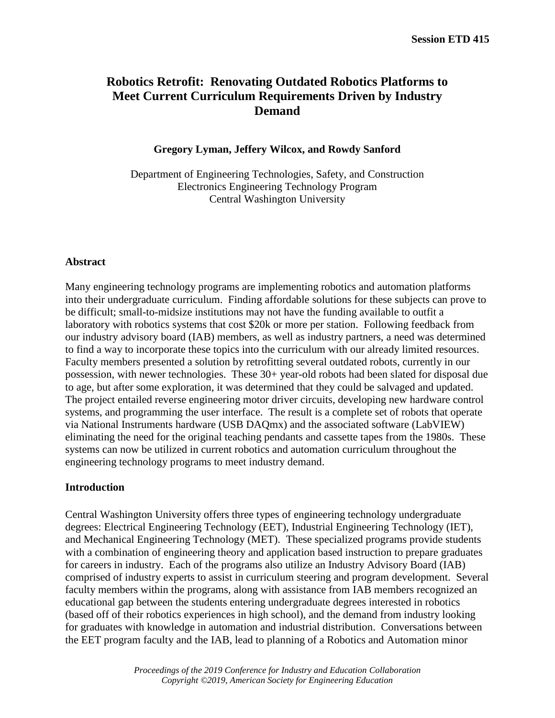# **Robotics Retrofit: Renovating Outdated Robotics Platforms to Meet Current Curriculum Requirements Driven by Industry Demand**

## **Gregory Lyman, Jeffery Wilcox, and Rowdy Sanford**

Department of Engineering Technologies, Safety, and Construction Electronics Engineering Technology Program Central Washington University

### **Abstract**

Many engineering technology programs are implementing robotics and automation platforms into their undergraduate curriculum. Finding affordable solutions for these subjects can prove to be difficult; small-to-midsize institutions may not have the funding available to outfit a laboratory with robotics systems that cost \$20k or more per station. Following feedback from our industry advisory board (IAB) members, as well as industry partners, a need was determined to find a way to incorporate these topics into the curriculum with our already limited resources. Faculty members presented a solution by retrofitting several outdated robots, currently in our possession, with newer technologies. These 30+ year-old robots had been slated for disposal due to age, but after some exploration, it was determined that they could be salvaged and updated. The project entailed reverse engineering motor driver circuits, developing new hardware control systems, and programming the user interface. The result is a complete set of robots that operate via National Instruments hardware (USB DAQmx) and the associated software (LabVIEW) eliminating the need for the original teaching pendants and cassette tapes from the 1980s. These systems can now be utilized in current robotics and automation curriculum throughout the engineering technology programs to meet industry demand.

### **Introduction**

Central Washington University offers three types of engineering technology undergraduate degrees: Electrical Engineering Technology (EET), Industrial Engineering Technology (IET), and Mechanical Engineering Technology (MET). These specialized programs provide students with a combination of engineering theory and application based instruction to prepare graduates for careers in industry. Each of the programs also utilize an Industry Advisory Board (IAB) comprised of industry experts to assist in curriculum steering and program development. Several faculty members within the programs, along with assistance from IAB members recognized an educational gap between the students entering undergraduate degrees interested in robotics (based off of their robotics experiences in high school), and the demand from industry looking for graduates with knowledge in automation and industrial distribution. Conversations between the EET program faculty and the IAB, lead to planning of a Robotics and Automation minor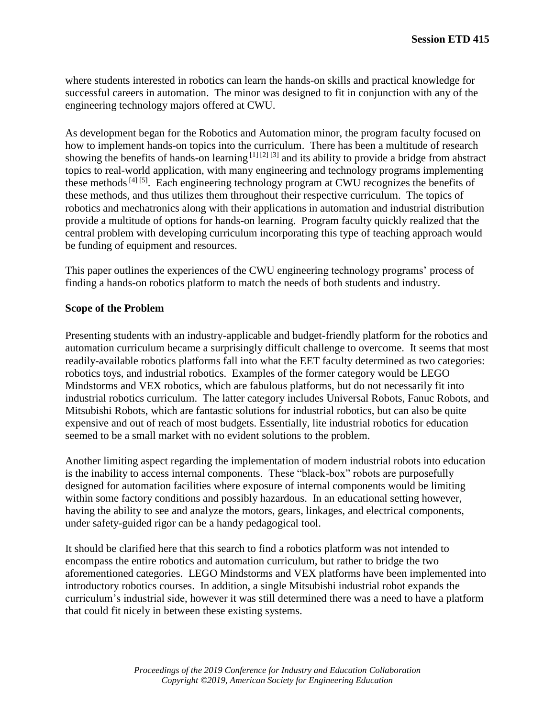where students interested in robotics can learn the hands-on skills and practical knowledge for successful careers in automation. The minor was designed to fit in conjunction with any of the engineering technology majors offered at CWU.

As development began for the Robotics and Automation minor, the program faculty focused on how to implement hands-on topics into the curriculum. There has been a multitude of research showing the benefits of hands-on learning [1] [2] [3] and its ability to provide a bridge from abstract topics to real-world application, with many engineering and technology programs implementing these methods  $[4]$  [5]. Each engineering technology program at CWU recognizes the benefits of these methods, and thus utilizes them throughout their respective curriculum. The topics of robotics and mechatronics along with their applications in automation and industrial distribution provide a multitude of options for hands-on learning. Program faculty quickly realized that the central problem with developing curriculum incorporating this type of teaching approach would be funding of equipment and resources.

This paper outlines the experiences of the CWU engineering technology programs' process of finding a hands-on robotics platform to match the needs of both students and industry.

### **Scope of the Problem**

Presenting students with an industry-applicable and budget-friendly platform for the robotics and automation curriculum became a surprisingly difficult challenge to overcome. It seems that most readily-available robotics platforms fall into what the EET faculty determined as two categories: robotics toys, and industrial robotics. Examples of the former category would be LEGO Mindstorms and VEX robotics, which are fabulous platforms, but do not necessarily fit into industrial robotics curriculum. The latter category includes Universal Robots, Fanuc Robots, and Mitsubishi Robots, which are fantastic solutions for industrial robotics, but can also be quite expensive and out of reach of most budgets. Essentially, lite industrial robotics for education seemed to be a small market with no evident solutions to the problem.

Another limiting aspect regarding the implementation of modern industrial robots into education is the inability to access internal components. These "black-box" robots are purposefully designed for automation facilities where exposure of internal components would be limiting within some factory conditions and possibly hazardous. In an educational setting however, having the ability to see and analyze the motors, gears, linkages, and electrical components, under safety-guided rigor can be a handy pedagogical tool.

It should be clarified here that this search to find a robotics platform was not intended to encompass the entire robotics and automation curriculum, but rather to bridge the two aforementioned categories. LEGO Mindstorms and VEX platforms have been implemented into introductory robotics courses. In addition, a single Mitsubishi industrial robot expands the curriculum's industrial side, however it was still determined there was a need to have a platform that could fit nicely in between these existing systems.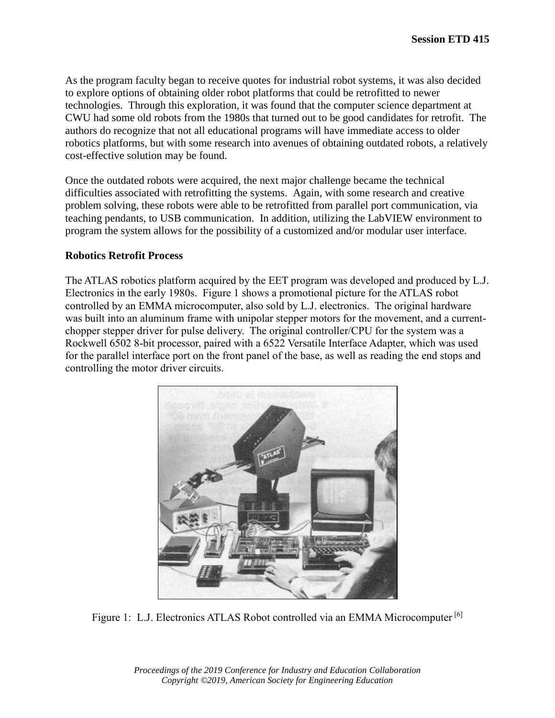As the program faculty began to receive quotes for industrial robot systems, it was also decided to explore options of obtaining older robot platforms that could be retrofitted to newer technologies. Through this exploration, it was found that the computer science department at CWU had some old robots from the 1980s that turned out to be good candidates for retrofit. The authors do recognize that not all educational programs will have immediate access to older robotics platforms, but with some research into avenues of obtaining outdated robots, a relatively cost-effective solution may be found.

Once the outdated robots were acquired, the next major challenge became the technical difficulties associated with retrofitting the systems. Again, with some research and creative problem solving, these robots were able to be retrofitted from parallel port communication, via teaching pendants, to USB communication. In addition, utilizing the LabVIEW environment to program the system allows for the possibility of a customized and/or modular user interface.

#### **Robotics Retrofit Process**

The ATLAS robotics platform acquired by the EET program was developed and produced by L.J. Electronics in the early 1980s. Figure 1 shows a promotional picture for the ATLAS robot controlled by an EMMA microcomputer, also sold by L.J. electronics. The original hardware was built into an aluminum frame with unipolar stepper motors for the movement, and a currentchopper stepper driver for pulse delivery. The original controller/CPU for the system was a Rockwell 6502 8-bit processor, paired with a 6522 Versatile Interface Adapter, which was used for the parallel interface port on the front panel of the base, as well as reading the end stops and controlling the motor driver circuits.



Figure 1: L.J. Electronics ATLAS Robot controlled via an EMMA Microcomputer<sup>[6]</sup>

*Proceedings of the 2019 Conference for Industry and Education Collaboration Copyright ©2019, American Society for Engineering Education*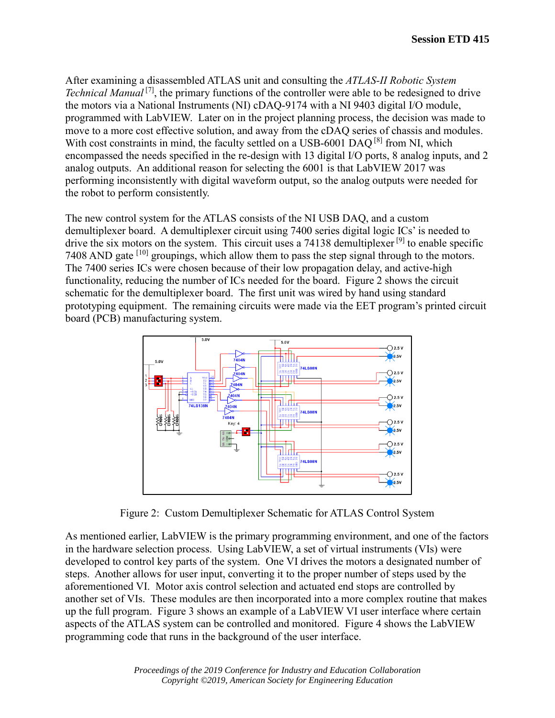After examining a disassembled ATLAS unit and consulting the *ATLAS-II Robotic System Technical Manual* <sup>[7]</sup>, the primary functions of the controller were able to be redesigned to drive the motors via a National Instruments (NI) cDAQ-9174 with a NI 9403 digital I/O module, programmed with LabVIEW. Later on in the project planning process, the decision was made to move to a more cost effective solution, and away from the cDAQ series of chassis and modules. With cost constraints in mind, the faculty settled on a USB-6001 DAO <sup>[8]</sup> from NI, which encompassed the needs specified in the re-design with 13 digital I/O ports, 8 analog inputs, and 2 analog outputs. An additional reason for selecting the 6001 is that LabVIEW 2017 was performing inconsistently with digital waveform output, so the analog outputs were needed for the robot to perform consistently.

The new control system for the ATLAS consists of the NI USB DAQ, and a custom demultiplexer board. A demultiplexer circuit using 7400 series digital logic ICs' is needed to drive the six motors on the system. This circuit uses a 74138 demultiplexer <sup>[9]</sup> to enable specific 7408 AND gate <sup>[10]</sup> groupings, which allow them to pass the step signal through to the motors. The 7400 series ICs were chosen because of their low propagation delay, and active-high functionality, reducing the number of ICs needed for the board. Figure 2 shows the circuit schematic for the demultiplexer board. The first unit was wired by hand using standard prototyping equipment. The remaining circuits were made via the EET program's printed circuit board (PCB) manufacturing system.



Figure 2: Custom Demultiplexer Schematic for ATLAS Control System

As mentioned earlier, LabVIEW is the primary programming environment, and one of the factors in the hardware selection process. Using LabVIEW, a set of virtual instruments (VIs) were developed to control key parts of the system. One VI drives the motors a designated number of steps. Another allows for user input, converting it to the proper number of steps used by the aforementioned VI. Motor axis control selection and actuated end stops are controlled by another set of VIs. These modules are then incorporated into a more complex routine that makes up the full program. Figure 3 shows an example of a LabVIEW VI user interface where certain aspects of the ATLAS system can be controlled and monitored. Figure 4 shows the LabVIEW programming code that runs in the background of the user interface.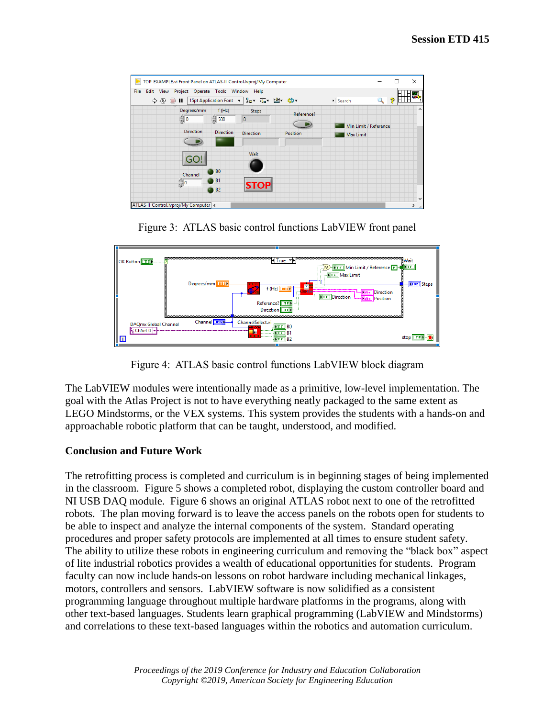| Edit View Project Operate Tools Window Help<br>File           |                                               |                          |            |                       |  |
|---------------------------------------------------------------|-----------------------------------------------|--------------------------|------------|-----------------------|--|
| 15pt Application Font > Ho Tur Tur 出 Gp -<br>ウ ゆ<br>$\odot$ H |                                               |                          | • Search   | 2                     |  |
| Degrees/mm<br>$\frac{1}{\sqrt{2}}$ 0                          | f(Hz)<br>500<br>33                            | <b>Steps</b><br>$\bf{0}$ | Reference? | Min Limit / Reference |  |
| <b>Direction</b>                                              | <b>Direction</b>                              | <b>Direction</b>         | Position   | Max Limit             |  |
| GO!                                                           |                                               | Wait                     |            |                       |  |
| Channel<br>$\frac{1}{2}$ 0                                    | B <sub>0</sub><br>B <sub>1</sub><br><b>B2</b> | <b>STOP</b>              |            |                       |  |

Figure 3: ATLAS basic control functions LabVIEW front panel



Figure 4: ATLAS basic control functions LabVIEW block diagram

The LabVIEW modules were intentionally made as a primitive, low-level implementation. The goal with the Atlas Project is not to have everything neatly packaged to the same extent as LEGO Mindstorms, or the VEX systems. This system provides the students with a hands-on and approachable robotic platform that can be taught, understood, and modified.

### **Conclusion and Future Work**

The retrofitting process is completed and curriculum is in beginning stages of being implemented in the classroom. Figure 5 shows a completed robot, displaying the custom controller board and NI USB DAQ module. Figure 6 shows an original ATLAS robot next to one of the retrofitted robots. The plan moving forward is to leave the access panels on the robots open for students to be able to inspect and analyze the internal components of the system. Standard operating procedures and proper safety protocols are implemented at all times to ensure student safety. The ability to utilize these robots in engineering curriculum and removing the "black box" aspect of lite industrial robotics provides a wealth of educational opportunities for students. Program faculty can now include hands-on lessons on robot hardware including mechanical linkages, motors, controllers and sensors. LabVIEW software is now solidified as a consistent programming language throughout multiple hardware platforms in the programs, along with other text-based languages. Students learn graphical programming (LabVIEW and Mindstorms) and correlations to these text-based languages within the robotics and automation curriculum.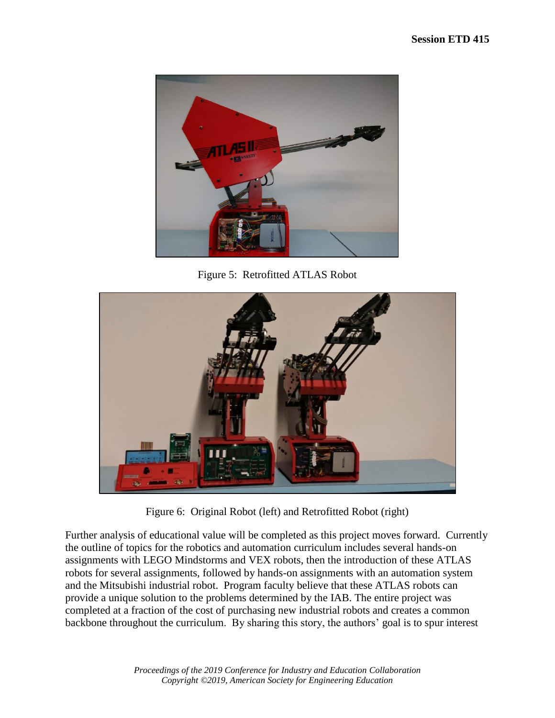

Figure 5: Retrofitted ATLAS Robot



Figure 6: Original Robot (left) and Retrofitted Robot (right)

Further analysis of educational value will be completed as this project moves forward. Currently the outline of topics for the robotics and automation curriculum includes several hands-on assignments with LEGO Mindstorms and VEX robots, then the introduction of these ATLAS robots for several assignments, followed by hands-on assignments with an automation system and the Mitsubishi industrial robot. Program faculty believe that these ATLAS robots can provide a unique solution to the problems determined by the IAB. The entire project was completed at a fraction of the cost of purchasing new industrial robots and creates a common backbone throughout the curriculum. By sharing this story, the authors' goal is to spur interest